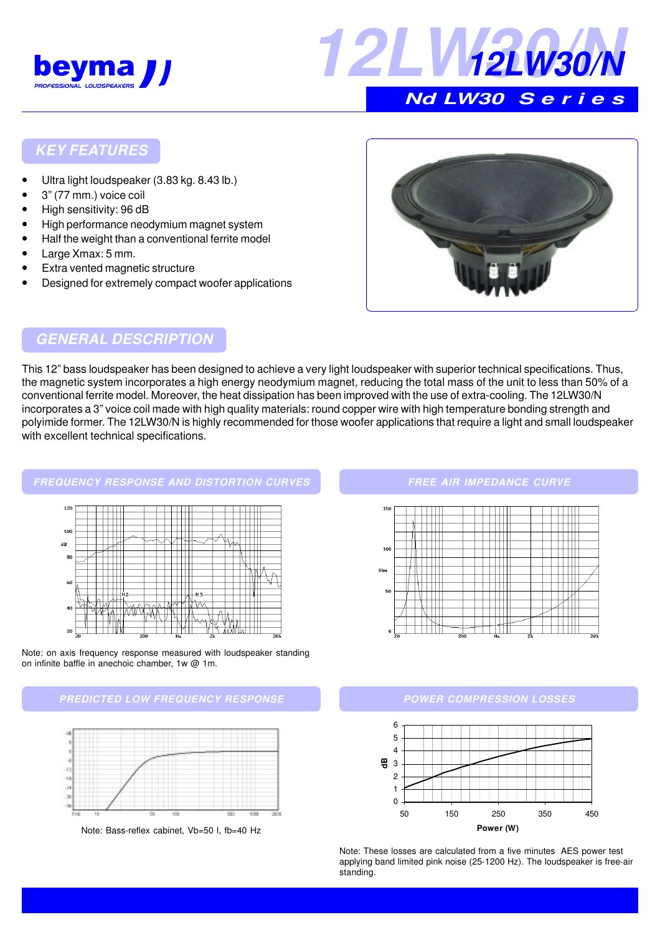



# **Nd LW30 S e r i e s**

### **KEY FEATURES**

- Ultra light loudspeaker (3.83 kg. 8.43 lb.)
- 3" (77 mm.) voice coil
- High sensitivity: 96 dB
- High performance neodymium magnet system
- Half the weight than a conventional ferrite model
- Large Xmax: 5 mm.
- **Extra vented magnetic structure**
- Designed for extremely compact woofer applications



#### **GENERAL DESCRIPTION**

This 12" bass loudspeaker has been designed to achieve a very light loudspeaker with superior technical specifications. Thus, the magnetic system incorporates a high energy neodymium magnet, reducing the total mass of the unit to less than 50% of a conventional ferrite model. Moreover, the heat dissipation has been improved with the use of extra-cooling. The 12LW30/N incorporates a 3" voice coil made with high quality materials: round copper wire with high temperature bonding strength and polyimide former. The 12LW30/N is highly recommended for those woofer applications that require a light and small loudspeaker with excellent technical specifications.

#### **FREQUENCY RESPONSE AND DISTORTION CURVES**



Note: on axis frequency response measured with loudspeaker standing on infinite baffle in anechoic chamber, 1w @ 1m.





Note: Bass-reflex cabinet, Vb=50 l, fb=40 Hz

#### **FREE AIR IMPEDANCE CURVE**



#### **POWER COMPRESSION LOSSES**



Note: These losses are calculated from a five minutes AES power test applying band limited pink noise (25-1200 Hz). The loudspeaker is free-air standing.